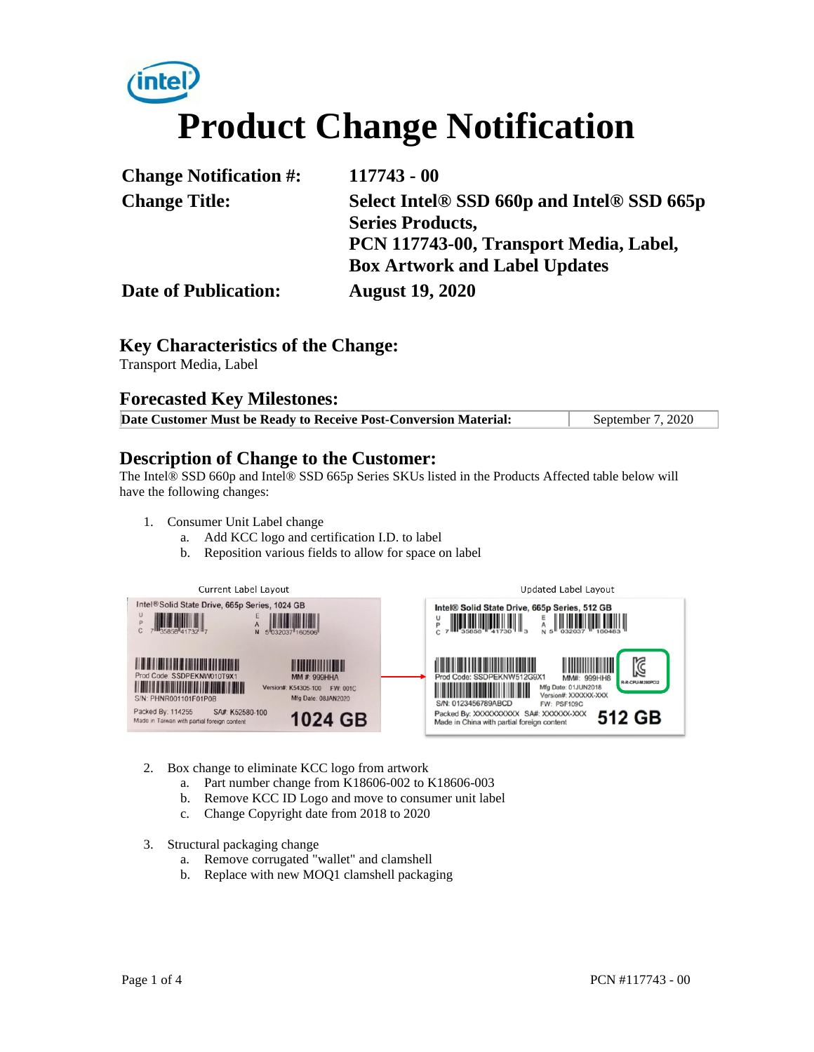# intel. **Product Change Notification**

| <b>Change Notification #:</b> | $117743 - 00$                              |  |  |
|-------------------------------|--------------------------------------------|--|--|
| <b>Change Title:</b>          | Select Intel® SSD 660p and Intel® SSD 665p |  |  |
|                               | <b>Series Products,</b>                    |  |  |
|                               | PCN 117743-00, Transport Media, Label,     |  |  |
|                               | <b>Box Artwork and Label Updates</b>       |  |  |
| <b>Date of Publication:</b>   | <b>August 19, 2020</b>                     |  |  |

#### **Key Characteristics of the Change:**

Transport Media, Label

#### **Forecasted Key Milestones:**

| Date Customer Must be Ready to Receive Post-Conversion Material: | September 7, 2020 |
|------------------------------------------------------------------|-------------------|
|                                                                  |                   |

#### **Description of Change to the Customer:**

The Intel® SSD 660p and Intel® SSD 665p Series SKUs listed in the Products Affected table below will have the following changes:

- 1. Consumer Unit Label change
	- a. Add KCC logo and certification I.D. to label
	- b. Reposition various fields to allow for space on label

| Current Label Layout                                       | Updated Label Layout                          |
|------------------------------------------------------------|-----------------------------------------------|
| Intel <sup>®</sup> Solid State Drive, 665p Series, 1024 GB | Intel® Solid State Drive, 665p Series, 512 GB |
| A                                                          | $35858 - 41730$                               |
| 5032037160506                                              | $R$ <sub>N 5</sub>                            |
|                                                            |                                               |
| <b>All Contract Contract of the Contract Of</b>            | Prod Code: SSDPEKNW512G9X1                    |
| Prod Code: SSDPEKNW010T9X1                                 | MM#: 999HH8                                   |
| MM #: 999HHA                                               | R-R-CPU-M280PCI2                              |
|                                                            |                                               |
| Version# K54305-100 FW: 001C                               | Mfg Date: 01JUN2018                           |
| Mfg Date: 08JAN2020                                        | Version#: XXXXXX-XXX                          |
| S/N: PHNR001101F01P0B                                      | S/N: 0123456789ABCD                           |
| Packed By: 114255                                          | <b>FW: PSF109C</b>                            |
| SA#: K52580-100                                            | Packed By: XXXXXXXXXX SA#: XXXXXX-XXX         |
| 1024 GB                                                    | 512 GB                                        |
| Made in Taiwan with partial foreign content                | Made in China with partial foreign content    |

- 2. Box change to eliminate KCC logo from artwork
	- a. Part number change from K18606-002 to K18606-003
	- b. Remove KCC ID Logo and move to consumer unit label
	- c. Change Copyright date from 2018 to 2020
- 3. Structural packaging change
	- a. Remove corrugated "wallet" and clamshell
	- b. Replace with new MOQ1 clamshell packaging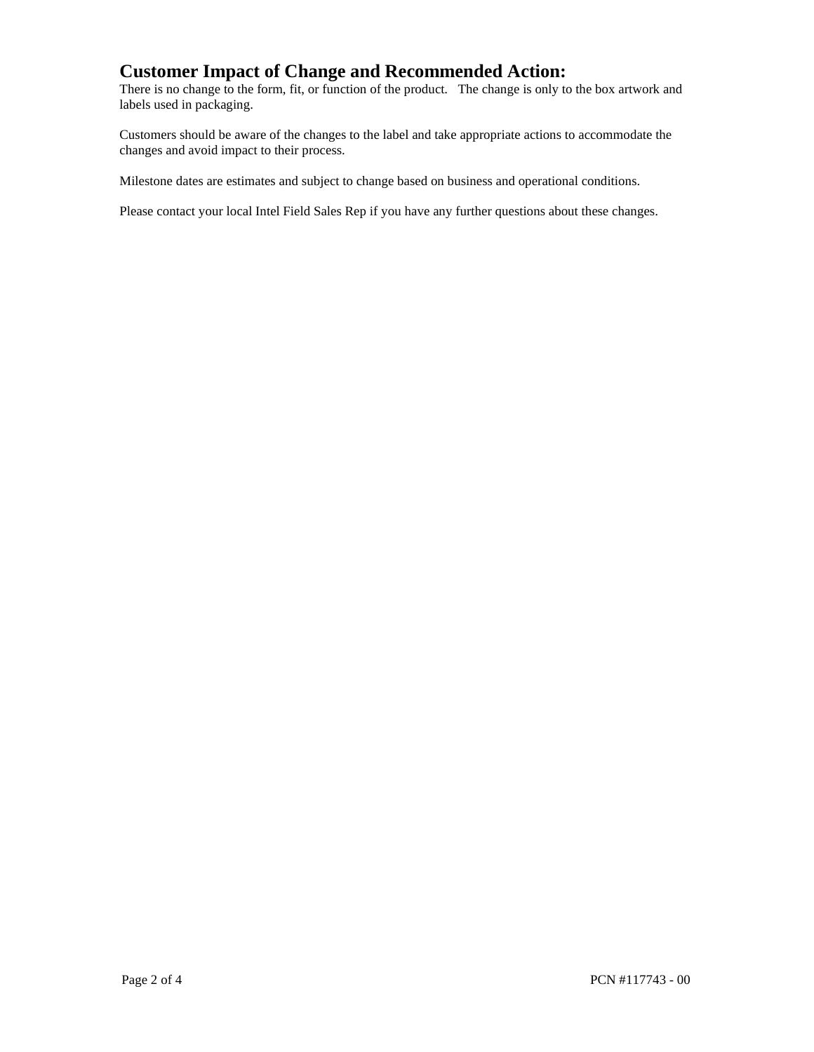#### **Customer Impact of Change and Recommended Action:**

There is no change to the form, fit, or function of the product. The change is only to the box artwork and labels used in packaging.

Customers should be aware of the changes to the label and take appropriate actions to accommodate the changes and avoid impact to their process.

Milestone dates are estimates and subject to change based on business and operational conditions.

Please contact your local Intel Field Sales Rep if you have any further questions about these changes.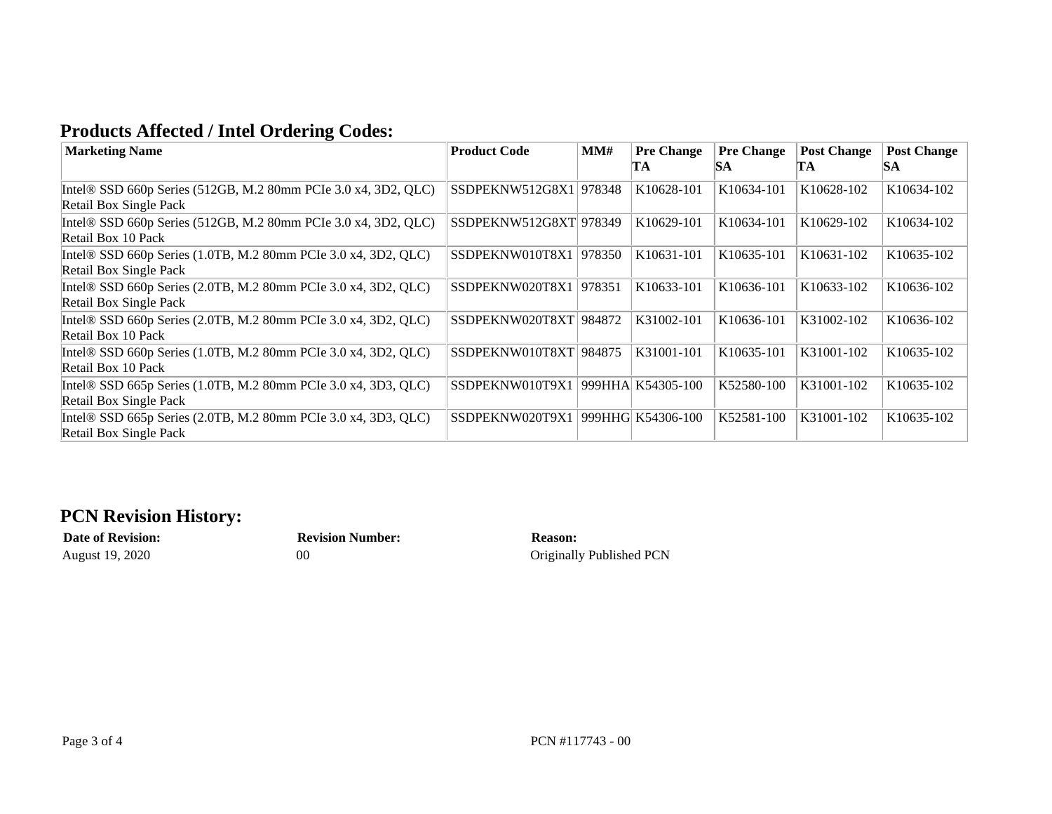## **Products Affected / Intel Ordering Codes:**

| <b>Marketing Name</b>                                                                              | <b>Product Code</b>    | MMH    | <b>Pre Change</b><br>TA | <b>Pre Change</b><br><b>SA</b> | <b>Post Change</b><br>TA | <b>Post Change</b><br><b>SA</b> |
|----------------------------------------------------------------------------------------------------|------------------------|--------|-------------------------|--------------------------------|--------------------------|---------------------------------|
| Intel® SSD 660p Series (512GB, M.2 80mm PCIe 3.0 x4, 3D2, QLC)                                     | SSDPEKNW512G8X11978348 |        | K10628-101              | K10634-101                     | K10628-102               | K10634-102                      |
| Retail Box Single Pack                                                                             |                        |        |                         |                                |                          |                                 |
| Intel® SSD 660p Series (512GB, M.2 80mm PCIe 3.0 x4, 3D2, QLC)                                     | SSDPEKNW512G8XT 978349 |        | K10629-101              | K10634-101                     | K10629-102               | K10634-102                      |
| Retail Box 10 Pack                                                                                 | SSDPEKNW010T8X1        | 978350 | K10631-101              | K10635-101                     | K10631-102               | K10635-102                      |
| Intel® SSD 660p Series (1.0TB, M.2 80mm PCIe 3.0 x4, 3D2, QLC)<br>Retail Box Single Pack           |                        |        |                         |                                |                          |                                 |
| Intel <sup>®</sup> SSD 660p Series $(2.0TB, M.2 80mm$ PCIe 3.0 x4, 3D2, QLC)                       | SSDPEKNW020T8X1        | 978351 | K10633-101              | K10636-101                     | K10633-102               | K10636-102                      |
| Retail Box Single Pack                                                                             |                        |        |                         |                                |                          |                                 |
| Intel® SSD 660p Series (2.0TB, M.2 80mm PCIe 3.0 x4, 3D2, QLC)<br>Retail Box 10 Pack               | SSDPEKNW020T8XT        | 984872 | K31002-101              | K10636-101                     | K31002-102               | K10636-102                      |
|                                                                                                    |                        |        |                         |                                |                          |                                 |
| Intel <sup>®</sup> SSD 660p Series $(1.0TB, M.2 80mm$ PCIe 3.0 x4, 3D2, QLC)<br>Retail Box 10 Pack | SSDPEKNW010T8XT 984875 |        | K31001-101              | K10635-101                     | K31001-102               | K10635-102                      |
|                                                                                                    |                        |        |                         |                                |                          |                                 |
| Intel® SSD 665p Series $(1.0TB, M.2 80mm$ PCIe 3.0 x4, 3D3, QLC)                                   | SSDPEKNW010T9X1        |        | 999HHA K54305-100       | K52580-100                     | K31001-102               | K10635-102                      |
| Retail Box Single Pack                                                                             |                        |        |                         |                                |                          |                                 |
| Intel® SSD 665p Series (2.0TB, M.2 80mm PCIe 3.0 x4, 3D3, QLC)                                     | SSDPEKNW020T9X1        |        | 999HHG K54306-100       | K52581-100                     | K31001-102               | K10635-102                      |
| Retail Box Single Pack                                                                             |                        |        |                         |                                |                          |                                 |

## **PCN Revision History:**

**Date of Revision: Revision Number: Reason:**

August 19, 2020 00 00 Originally Published PCN